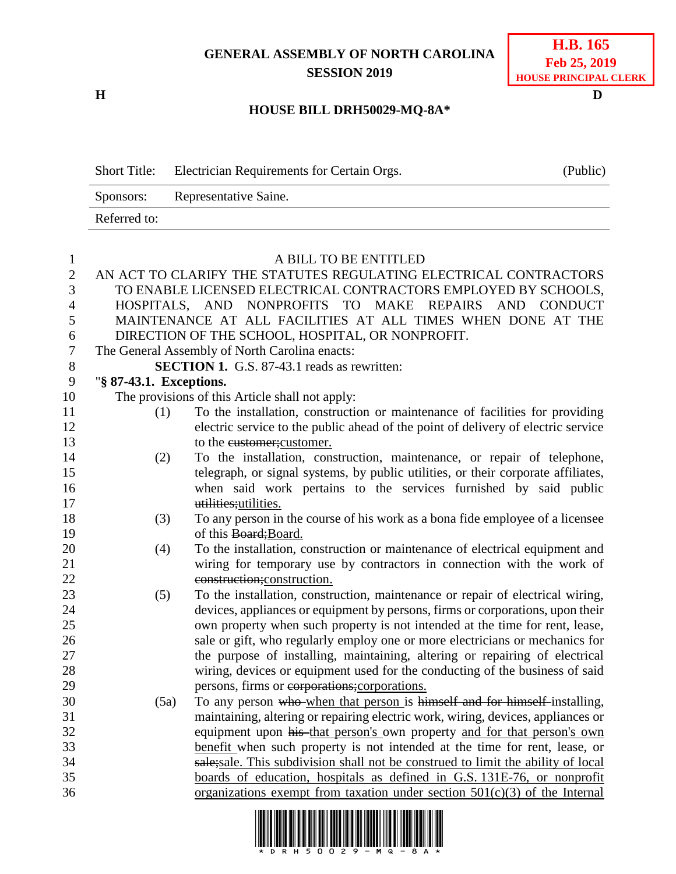## **GENERAL ASSEMBLY OF NORTH CAROLINA SESSION 2019**

**H D**

## **HOUSE BILL DRH50029-MQ-8A\***

| <b>Short Title:</b> | Electrician Requirements for Certain Orgs. | (Public) |
|---------------------|--------------------------------------------|----------|
| Sponsors:           | Representative Saine.                      |          |
| Referred to:        |                                            |          |

| $\mathbf{1}$   | A BILL TO BE ENTITLED                                            |                                                                                   |  |  |  |
|----------------|------------------------------------------------------------------|-----------------------------------------------------------------------------------|--|--|--|
| $\sqrt{2}$     | AN ACT TO CLARIFY THE STATUTES REGULATING ELECTRICAL CONTRACTORS |                                                                                   |  |  |  |
| 3              | TO ENABLE LICENSED ELECTRICAL CONTRACTORS EMPLOYED BY SCHOOLS,   |                                                                                   |  |  |  |
| $\overline{4}$ |                                                                  | HOSPITALS, AND NONPROFITS TO MAKE REPAIRS AND CONDUCT                             |  |  |  |
| 5              |                                                                  | MAINTENANCE AT ALL FACILITIES AT ALL TIMES WHEN DONE AT THE                       |  |  |  |
| 6              |                                                                  | DIRECTION OF THE SCHOOL, HOSPITAL, OR NONPROFIT.                                  |  |  |  |
| $\overline{7}$ |                                                                  | The General Assembly of North Carolina enacts:                                    |  |  |  |
| $8\,$          | SECTION 1. G.S. 87-43.1 reads as rewritten:                      |                                                                                   |  |  |  |
| 9              | "§ 87-43.1. Exceptions.                                          |                                                                                   |  |  |  |
| 10             |                                                                  | The provisions of this Article shall not apply:                                   |  |  |  |
| 11             | (1)                                                              | To the installation, construction or maintenance of facilities for providing      |  |  |  |
| 12             |                                                                  | electric service to the public ahead of the point of delivery of electric service |  |  |  |
| 13             |                                                                  | to the eustomer; customer.                                                        |  |  |  |
| 14             | (2)                                                              | To the installation, construction, maintenance, or repair of telephone,           |  |  |  |
| 15             |                                                                  | telegraph, or signal systems, by public utilities, or their corporate affiliates, |  |  |  |
| 16             |                                                                  | when said work pertains to the services furnished by said public                  |  |  |  |
| 17             |                                                                  | utilities; utilities.                                                             |  |  |  |
| 18             | (3)                                                              | To any person in the course of his work as a bona fide employee of a licensee     |  |  |  |
| 19             |                                                                  | of this Board; Board.                                                             |  |  |  |
| 20             | (4)                                                              | To the installation, construction or maintenance of electrical equipment and      |  |  |  |
| 21             |                                                                  | wiring for temporary use by contractors in connection with the work of            |  |  |  |
| 22             |                                                                  | construction; construction.                                                       |  |  |  |
| 23             | (5)                                                              | To the installation, construction, maintenance or repair of electrical wiring,    |  |  |  |
| 24             |                                                                  | devices, appliances or equipment by persons, firms or corporations, upon their    |  |  |  |
| 25             |                                                                  | own property when such property is not intended at the time for rent, lease,      |  |  |  |
| 26             |                                                                  | sale or gift, who regularly employ one or more electricians or mechanics for      |  |  |  |
| 27             |                                                                  | the purpose of installing, maintaining, altering or repairing of electrical       |  |  |  |
| 28             |                                                                  | wiring, devices or equipment used for the conducting of the business of said      |  |  |  |
| 29             |                                                                  | persons, firms or corporations; corporations.                                     |  |  |  |
| 30             | (5a)                                                             | To any person who when that person is himself and for himself installing,         |  |  |  |
| 31             |                                                                  | maintaining, altering or repairing electric work, wiring, devices, appliances or  |  |  |  |
| 32             |                                                                  | equipment upon his that person's own property and for that person's own           |  |  |  |
| 33             |                                                                  | benefit when such property is not intended at the time for rent, lease, or        |  |  |  |
| 34             |                                                                  | sale; sale. This subdivision shall not be construed to limit the ability of local |  |  |  |
| 35             |                                                                  | boards of education, hospitals as defined in G.S. 131E-76, or nonprofit           |  |  |  |
| 36             |                                                                  | organizations exempt from taxation under section $501(c)(3)$ of the Internal      |  |  |  |

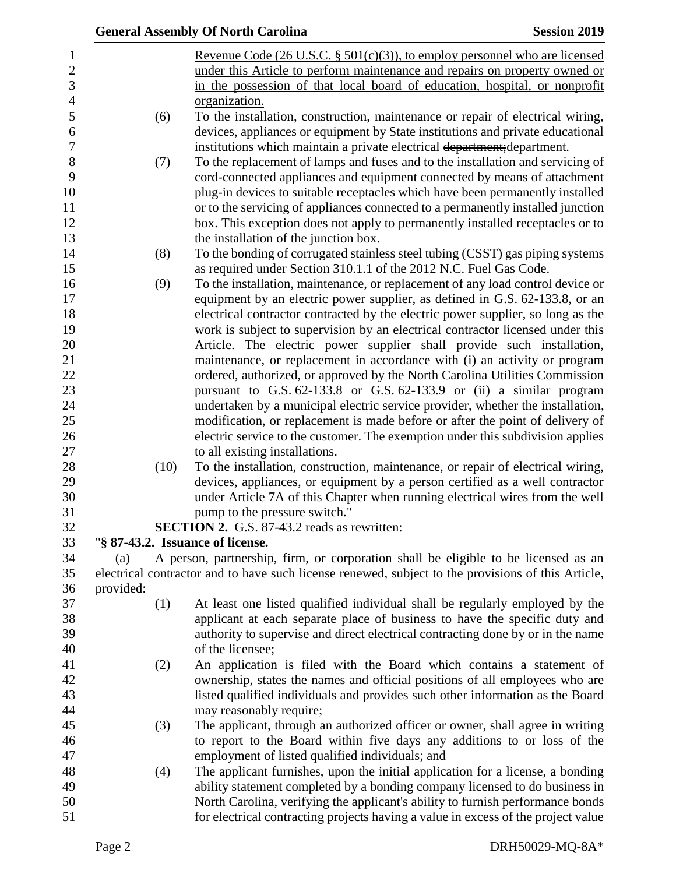|           | <b>General Assembly Of North Carolina</b>                                                          | <b>Session 2019</b> |
|-----------|----------------------------------------------------------------------------------------------------|---------------------|
|           | Revenue Code (26 U.S.C. $\S$ 501(c)(3)), to employ personnel who are licensed                      |                     |
|           | under this Article to perform maintenance and repairs on property owned or                         |                     |
|           | in the possession of that local board of education, hospital, or nonprofit                         |                     |
|           | organization.                                                                                      |                     |
| (6)       | To the installation, construction, maintenance or repair of electrical wiring,                     |                     |
|           | devices, appliances or equipment by State institutions and private educational                     |                     |
|           | institutions which maintain a private electrical department; department.                           |                     |
| (7)       | To the replacement of lamps and fuses and to the installation and servicing of                     |                     |
|           | cord-connected appliances and equipment connected by means of attachment                           |                     |
|           | plug-in devices to suitable receptacles which have been permanently installed                      |                     |
|           | or to the servicing of appliances connected to a permanently installed junction                    |                     |
|           | box. This exception does not apply to permanently installed receptacles or to                      |                     |
|           | the installation of the junction box.                                                              |                     |
| (8)       | To the bonding of corrugated stainless steel tubing (CSST) gas piping systems                      |                     |
|           | as required under Section 310.1.1 of the 2012 N.C. Fuel Gas Code.                                  |                     |
| (9)       | To the installation, maintenance, or replacement of any load control device or                     |                     |
|           | equipment by an electric power supplier, as defined in G.S. 62-133.8, or an                        |                     |
|           | electrical contractor contracted by the electric power supplier, so long as the                    |                     |
|           | work is subject to supervision by an electrical contractor licensed under this                     |                     |
|           | Article. The electric power supplier shall provide such installation,                              |                     |
|           | maintenance, or replacement in accordance with (i) an activity or program                          |                     |
|           | ordered, authorized, or approved by the North Carolina Utilities Commission                        |                     |
|           | pursuant to G.S. 62-133.8 or G.S. 62-133.9 or (ii) a similar program                               |                     |
|           | undertaken by a municipal electric service provider, whether the installation,                     |                     |
|           | modification, or replacement is made before or after the point of delivery of                      |                     |
|           | electric service to the customer. The exemption under this subdivision applies                     |                     |
|           | to all existing installations.                                                                     |                     |
| (10)      | To the installation, construction, maintenance, or repair of electrical wiring,                    |                     |
|           | devices, appliances, or equipment by a person certified as a well contractor                       |                     |
|           | under Article 7A of this Chapter when running electrical wires from the well                       |                     |
|           | pump to the pressure switch."                                                                      |                     |
|           | SECTION 2. G.S. 87-43.2 reads as rewritten:                                                        |                     |
|           | "§ 87-43.2. Issuance of license.                                                                   |                     |
| (a)       | A person, partnership, firm, or corporation shall be eligible to be licensed as an                 |                     |
|           | electrical contractor and to have such license renewed, subject to the provisions of this Article, |                     |
| provided: |                                                                                                    |                     |
| (1)       | At least one listed qualified individual shall be regularly employed by the                        |                     |
|           | applicant at each separate place of business to have the specific duty and                         |                     |
|           | authority to supervise and direct electrical contracting done by or in the name                    |                     |
|           | of the licensee;                                                                                   |                     |
| (2)       | An application is filed with the Board which contains a statement of                               |                     |
|           | ownership, states the names and official positions of all employees who are                        |                     |
|           | listed qualified individuals and provides such other information as the Board                      |                     |
|           | may reasonably require;                                                                            |                     |
| (3)       | The applicant, through an authorized officer or owner, shall agree in writing                      |                     |
|           | to report to the Board within five days any additions to or loss of the                            |                     |
|           | employment of listed qualified individuals; and                                                    |                     |
| (4)       | The applicant furnishes, upon the initial application for a license, a bonding                     |                     |
|           | ability statement completed by a bonding company licensed to do business in                        |                     |
|           | North Carolina, verifying the applicant's ability to furnish performance bonds                     |                     |
|           | for electrical contracting projects having a value in excess of the project value                  |                     |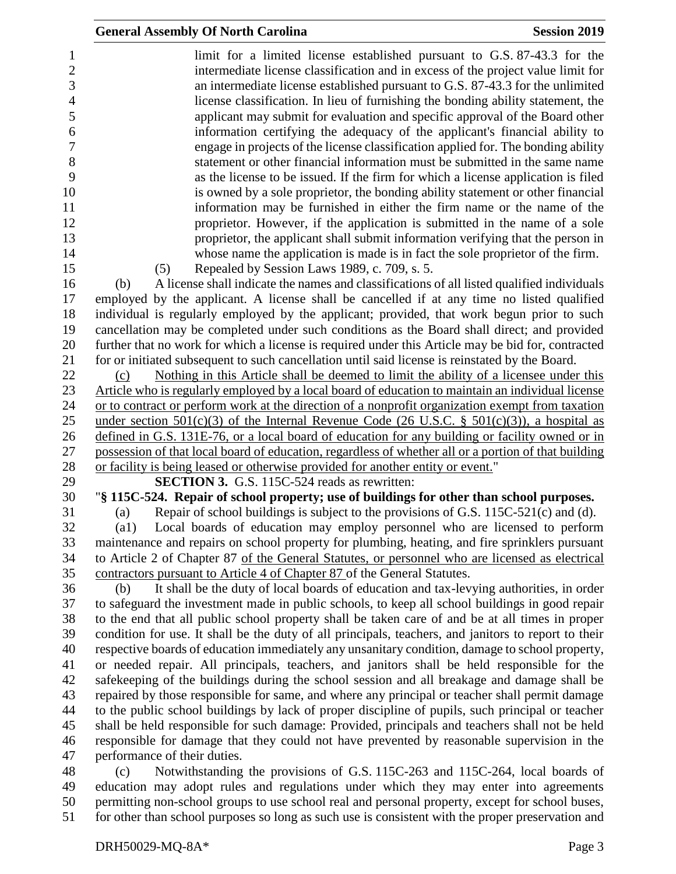|                              | <b>General Assembly Of North Carolina</b>                                                                                                                                                           | <b>Session 2019</b> |
|------------------------------|-----------------------------------------------------------------------------------------------------------------------------------------------------------------------------------------------------|---------------------|
|                              | limit for a limited license established pursuant to G.S. 87-43.3 for the<br>intermediate license classification and in excess of the project value limit for                                        |                     |
|                              | an intermediate license established pursuant to G.S. 87-43.3 for the unlimited<br>license classification. In lieu of furnishing the bonding ability statement, the                                  |                     |
|                              | applicant may submit for evaluation and specific approval of the Board other                                                                                                                        |                     |
|                              | information certifying the adequacy of the applicant's financial ability to                                                                                                                         |                     |
|                              | engage in projects of the license classification applied for. The bonding ability                                                                                                                   |                     |
|                              | statement or other financial information must be submitted in the same name                                                                                                                         |                     |
|                              | as the license to be issued. If the firm for which a license application is filed<br>is owned by a sole proprietor, the bonding ability statement or other financial                                |                     |
|                              | information may be furnished in either the firm name or the name of the                                                                                                                             |                     |
|                              | proprietor. However, if the application is submitted in the name of a sole                                                                                                                          |                     |
|                              | proprietor, the applicant shall submit information verifying that the person in                                                                                                                     |                     |
|                              | whose name the application is made is in fact the sole proprietor of the firm.                                                                                                                      |                     |
| (5)                          | Repealed by Session Laws 1989, c. 709, s. 5.                                                                                                                                                        |                     |
| (b)                          | A license shall indicate the names and classifications of all listed qualified individuals                                                                                                          |                     |
|                              | employed by the applicant. A license shall be cancelled if at any time no listed qualified<br>individual is regularly employed by the applicant; provided, that work begun prior to such            |                     |
|                              | cancellation may be completed under such conditions as the Board shall direct; and provided                                                                                                         |                     |
|                              | further that no work for which a license is required under this Article may be bid for, contracted                                                                                                  |                     |
|                              | for or initiated subsequent to such cancellation until said license is reinstated by the Board.                                                                                                     |                     |
| (c)                          | Nothing in this Article shall be deemed to limit the ability of a licensee under this                                                                                                               |                     |
|                              | Article who is regularly employed by a local board of education to maintain an individual license                                                                                                   |                     |
|                              | or to contract or perform work at the direction of a nonprofit organization exempt from taxation                                                                                                    |                     |
|                              | under section $501(c)(3)$ of the Internal Revenue Code (26 U.S.C. § $501(c)(3)$ ), a hospital as<br>defined in G.S. 131E-76, or a local board of education for any building or facility owned or in |                     |
|                              | possession of that local board of education, regardless of whether all or a portion of that building                                                                                                |                     |
|                              | or facility is being leased or otherwise provided for another entity or event."                                                                                                                     |                     |
|                              | <b>SECTION 3.</b> G.S. 115C-524 reads as rewritten:                                                                                                                                                 |                     |
|                              | "§ 115C-524. Repair of school property; use of buildings for other than school purposes.                                                                                                            |                     |
| (a)                          | Repair of school buildings is subject to the provisions of G.S. 115C-521(c) and (d).                                                                                                                |                     |
| (al)                         | Local boards of education may employ personnel who are licensed to perform                                                                                                                          |                     |
|                              | maintenance and repairs on school property for plumbing, heating, and fire sprinklers pursuant<br>to Article 2 of Chapter 87 of the General Statutes, or personnel who are licensed as electrical   |                     |
|                              | contractors pursuant to Article 4 of Chapter 87 of the General Statutes.                                                                                                                            |                     |
| (b)                          | It shall be the duty of local boards of education and tax-levying authorities, in order                                                                                                             |                     |
|                              | to safeguard the investment made in public schools, to keep all school buildings in good repair                                                                                                     |                     |
|                              | to the end that all public school property shall be taken care of and be at all times in proper                                                                                                     |                     |
|                              | condition for use. It shall be the duty of all principals, teachers, and janitors to report to their                                                                                                |                     |
|                              | respective boards of education immediately any unsanitary condition, damage to school property,                                                                                                     |                     |
|                              | or needed repair. All principals, teachers, and janitors shall be held responsible for the                                                                                                          |                     |
|                              | safekeeping of the buildings during the school session and all breakage and damage shall be<br>repaired by those responsible for same, and where any principal or teacher shall permit damage       |                     |
|                              | to the public school buildings by lack of proper discipline of pupils, such principal or teacher                                                                                                    |                     |
|                              | shall be held responsible for such damage: Provided, principals and teachers shall not be held                                                                                                      |                     |
|                              | responsible for damage that they could not have prevented by reasonable supervision in the                                                                                                          |                     |
| performance of their duties. |                                                                                                                                                                                                     |                     |
| (c)                          | Notwithstanding the provisions of G.S. 115C-263 and 115C-264, local boards of                                                                                                                       |                     |
|                              | education may adopt rules and regulations under which they may enter into agreements                                                                                                                |                     |

 permitting non-school groups to use school real and personal property, except for school buses, for other than school purposes so long as such use is consistent with the proper preservation and